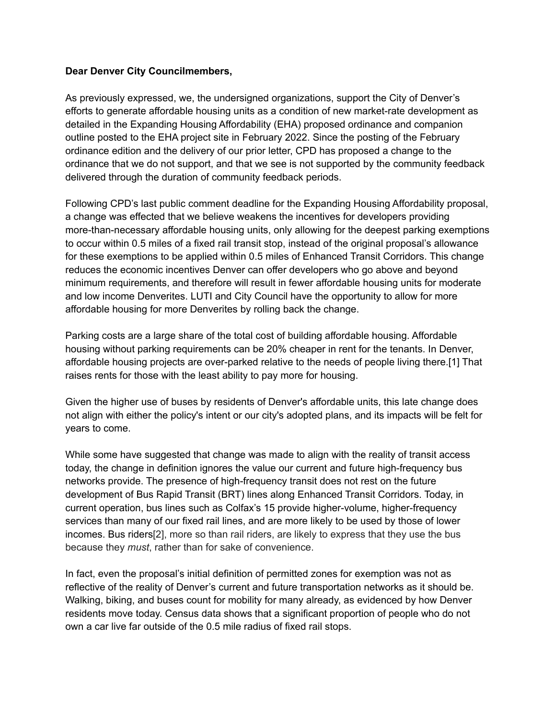## **Dear Denver City Councilmembers,**

As previously expressed, we, the undersigned organizations, support the City of Denver's efforts to generate affordable housing units as a condition of new market-rate development as detailed in the Expanding Housing Affordability (EHA) proposed ordinance and companion outline posted to the EHA project site in February 2022. Since the posting of the February ordinance edition and the delivery of our prior letter, CPD has proposed a change to the ordinance that we do not support, and that we see is not supported by the community feedback delivered through the duration of community feedback periods.

Following CPD's last public comment deadline for the Expanding Housing Affordability proposal, a change was effected that we believe weakens the incentives for developers providing more-than-necessary affordable housing units, only allowing for the deepest parking exemptions to occur within 0.5 miles of a fixed rail transit stop, instead of the original proposal's allowance for these exemptions to be applied within 0.5 miles of Enhanced Transit Corridors. This change reduces the economic incentives Denver can offer developers who go above and beyond minimum requirements, and therefore will result in fewer affordable housing units for moderate and low income Denverites. LUTI and City Council have the opportunity to allow for more affordable housing for more Denverites by rolling back the change.

Parking costs are a large share of the total cost of building affordable housing. Affordable housing without parking requirements can be 20% cheaper in rent for the tenants. In Denver, affordable housing projects are over-parked relative to the needs of people living there.[1] That raises rents for those with the least ability to pay more for housing.

Given the higher use of buses by residents of Denver's affordable units, this late change does not align with either the policy's intent or our city's adopted plans, and its impacts will be felt for years to come.

While some have suggested that change was made to align with the reality of transit access today, the change in definition ignores the value our current and future high-frequency bus networks provide. The presence of high-frequency transit does not rest on the future development of Bus Rapid Transit (BRT) lines along Enhanced Transit Corridors. Today, in current operation, bus lines such as Colfax's 15 provide higher-volume, higher-frequency services than many of our fixed rail lines, and are more likely to be used by those of lower incomes. Bus riders[2], more so than rail riders, are likely to express that they use the bus because they *must*, rather than for sake of convenience.

In fact, even the proposal's initial definition of permitted zones for exemption was not as reflective of the reality of Denver's current and future transportation networks as it should be. Walking, biking, and buses count for mobility for many already, as evidenced by how Denver residents move today. Census data shows that a significant proportion of people who do not own a car live far outside of the 0.5 mile radius of fixed rail stops.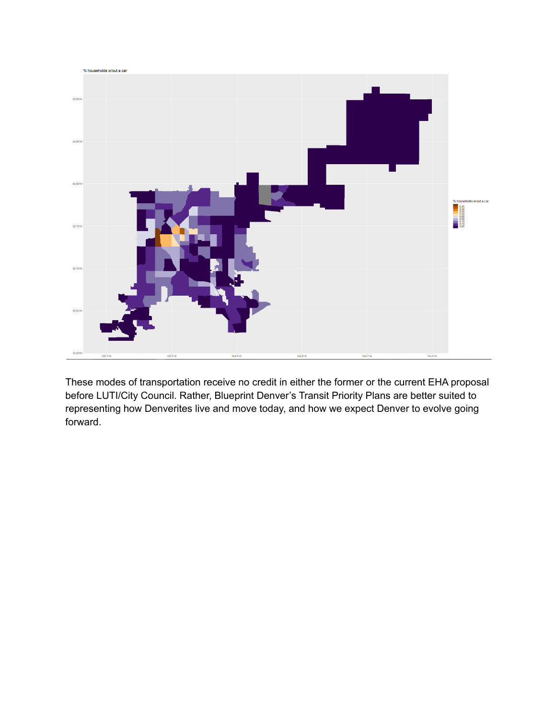

These modes of transportation receive no credit in either the former or the current EHA proposal before LUTI/City Council. Rather, Blueprint Denver's Transit Priority Plans are better suited to representing how Denverites live and move today, and how we expect Denver to evolve going forward.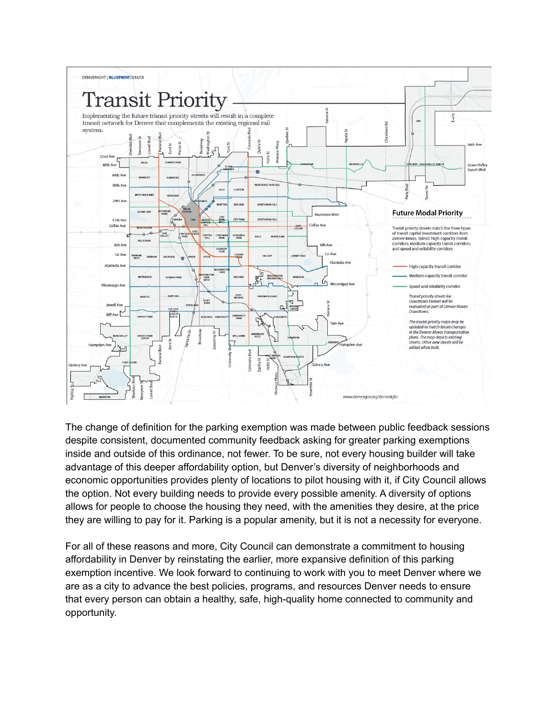

The change of definition for the parking exemption was made between public feedback sessions despite consistent, documented community feedback asking for greater parking exemptions inside and outside of this ordinance, not fewer. To be sure, not every housing builder will take advantage of this deeper affordability option, but Denver's diversity of neighborhoods and economic opportunities provides plenty of locations to pilot housing with it, if City Council allows the option. Not every building needs to provide every possible amenity. A diversity of options allows for people to choose the housing they need, with the amenities they desire, at the price they are willing to pay for it. Parking is a popular amenity, but it is not a necessity for everyone.

For all of these reasons and more, City Council can demonstrate a commitment to housing affordability in Denver by reinstating the earlier, more expansive definition of this parking exemption incentive. We look forward to continuing to work with you to meet Denver where we are as a city to advance the best policies, programs, and resources Denver needs to ensure that every person can obtain a healthy, safe, high-quality home connected to community and opportunity.